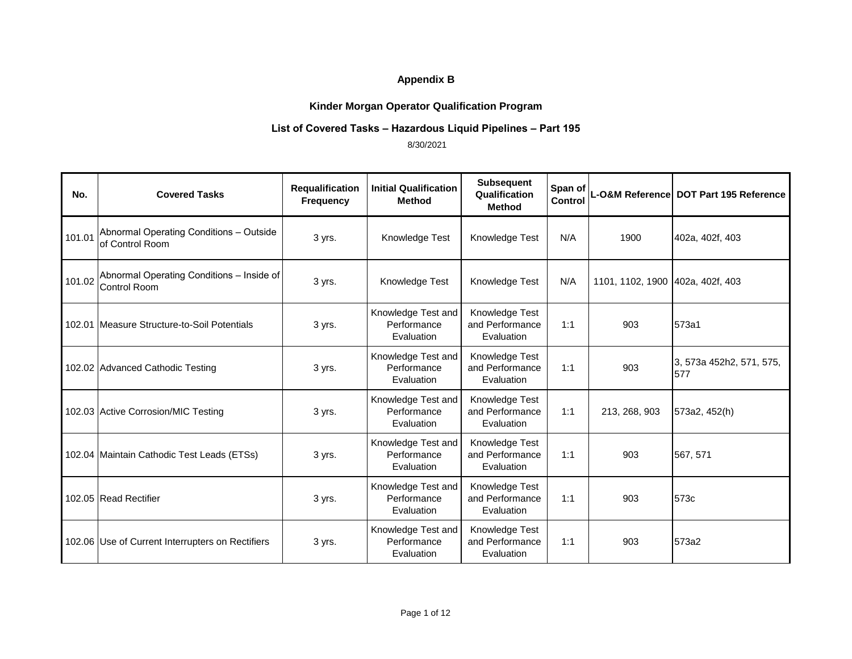# **Kinder Morgan Operator Qualification Program**

## **List of Covered Tasks – Hazardous Liquid Pipelines – Part 195**

| No.    | <b>Covered Tasks</b>                                       | Requalification<br><b>Frequency</b> | <b>Initial Qualification</b><br><b>Method</b>   | <b>Subsequent</b><br>Qualification<br><b>Method</b> | Span of<br>Control |                                  | L-O&M Reference DOT Part 195 Reference |
|--------|------------------------------------------------------------|-------------------------------------|-------------------------------------------------|-----------------------------------------------------|--------------------|----------------------------------|----------------------------------------|
| 101.01 | Abnormal Operating Conditions - Outside<br>of Control Room | 3 yrs.                              | Knowledge Test                                  | Knowledge Test                                      | N/A                | 1900                             | 402a, 402f, 403                        |
| 101.02 | Abnormal Operating Conditions - Inside of<br>Control Room  | 3 yrs.                              | Knowledge Test                                  | Knowledge Test                                      | N/A                | 1101, 1102, 1900 402a, 402f, 403 |                                        |
|        | 102.01 Measure Structure-to-Soil Potentials                | 3 yrs.                              | Knowledge Test and<br>Performance<br>Evaluation | Knowledge Test<br>and Performance<br>Evaluation     | 1:1                | 903                              | 573a1                                  |
|        | 102.02 Advanced Cathodic Testing                           | 3 yrs.                              | Knowledge Test and<br>Performance<br>Evaluation | Knowledge Test<br>and Performance<br>Evaluation     | 1:1                | 903                              | 3, 573a 452h2, 571, 575,<br>577        |
|        | 102.03 Active Corrosion/MIC Testing                        | 3 yrs.                              | Knowledge Test and<br>Performance<br>Evaluation | Knowledge Test<br>and Performance<br>Evaluation     | 1:1                | 213, 268, 903                    | 573a2, 452(h)                          |
|        | 102.04 Maintain Cathodic Test Leads (ETSs)                 | 3 yrs.                              | Knowledge Test and<br>Performance<br>Evaluation | Knowledge Test<br>and Performance<br>Evaluation     | 1:1                | 903                              | 567, 571                               |
|        | 102.05 Read Rectifier                                      | 3 yrs.                              | Knowledge Test and<br>Performance<br>Evaluation | Knowledge Test<br>and Performance<br>Evaluation     | 1:1                | 903                              | 573c                                   |
|        | 102.06 Use of Current Interrupters on Rectifiers           | 3 yrs.                              | Knowledge Test and<br>Performance<br>Evaluation | Knowledge Test<br>and Performance<br>Evaluation     | 1:1                | 903                              | 573a2                                  |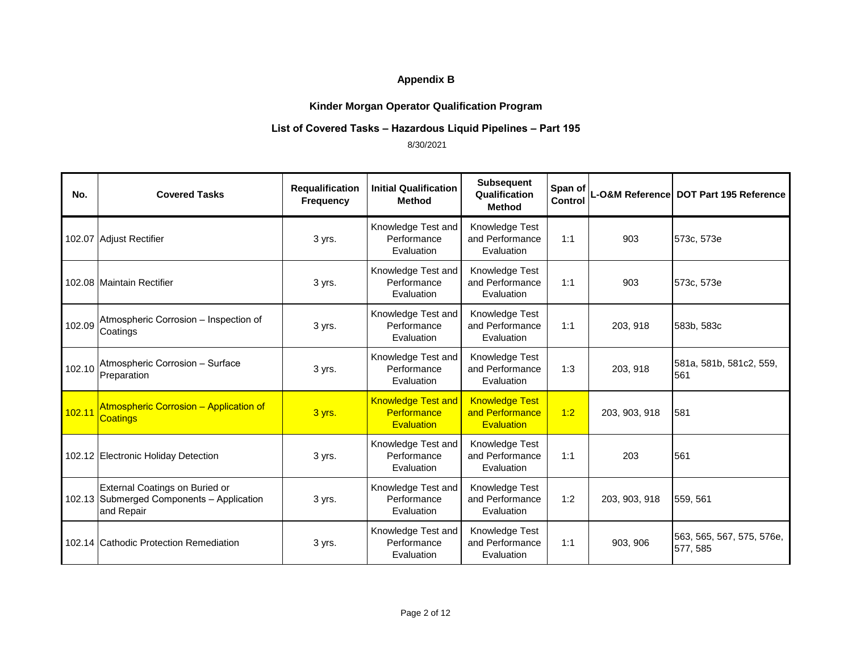# **Kinder Morgan Operator Qualification Program**

#### **List of Covered Tasks – Hazardous Liquid Pipelines – Part 195**

| No.    | <b>Covered Tasks</b>                                                                      | Requalification<br><b>Frequency</b> | <b>Initial Qualification</b><br>Method                        | <b>Subsequent</b><br>Qualification<br><b>Method</b>           | Span of<br>Control |               | L-O&M Reference DOT Part 195 Reference |
|--------|-------------------------------------------------------------------------------------------|-------------------------------------|---------------------------------------------------------------|---------------------------------------------------------------|--------------------|---------------|----------------------------------------|
|        | 102.07 Adjust Rectifier                                                                   | 3 yrs.                              | Knowledge Test and<br>Performance<br>Evaluation               | Knowledge Test<br>and Performance<br>Evaluation               | 1:1                | 903           | 573c, 573e                             |
|        | 102.08 Maintain Rectifier                                                                 | 3 yrs.                              | Knowledge Test and<br>Performance<br>Evaluation               | Knowledge Test<br>and Performance<br>Evaluation               | 1:1                | 903           | 573c, 573e                             |
| 102.09 | Atmospheric Corrosion - Inspection of<br>Coatings                                         | 3 yrs.                              | Knowledge Test and<br>Performance<br>Evaluation               | Knowledge Test<br>and Performance<br>Evaluation               | 1:1                | 203, 918      | 583b, 583c                             |
| 102.10 | Atmospheric Corrosion - Surface<br>Preparation                                            | 3 yrs.                              | Knowledge Test and<br>Performance<br>Evaluation               | Knowledge Test<br>and Performance<br>Evaluation               | 1:3                | 203, 918      | 581a, 581b, 581c2, 559,<br>561         |
| 102.11 | <b>Atmospheric Corrosion - Application of</b><br><b>Coatings</b>                          | 3 yrs.                              | <b>Knowledge Test and</b><br>Performance<br><b>Evaluation</b> | <b>Knowledge Test</b><br>and Performance<br><b>Evaluation</b> | 1:2                | 203, 903, 918 | 581                                    |
|        | 102.12 Electronic Holiday Detection                                                       | 3 yrs.                              | Knowledge Test and<br>Performance<br>Evaluation               | Knowledge Test<br>and Performance<br>Evaluation               | 1:1                | 203           | 561                                    |
|        | External Coatings on Buried or<br>102.13 Submerged Components - Application<br>and Repair | 3 yrs.                              | Knowledge Test and<br>Performance<br>Evaluation               | Knowledge Test<br>and Performance<br>Evaluation               | 1:2                | 203, 903, 918 | 559, 561                               |
|        | 102.14 Cathodic Protection Remediation                                                    | 3 yrs.                              | Knowledge Test and<br>Performance<br>Evaluation               | Knowledge Test<br>and Performance<br>Evaluation               | 1:1                | 903.906       | 563, 565, 567, 575, 576e,<br>577, 585  |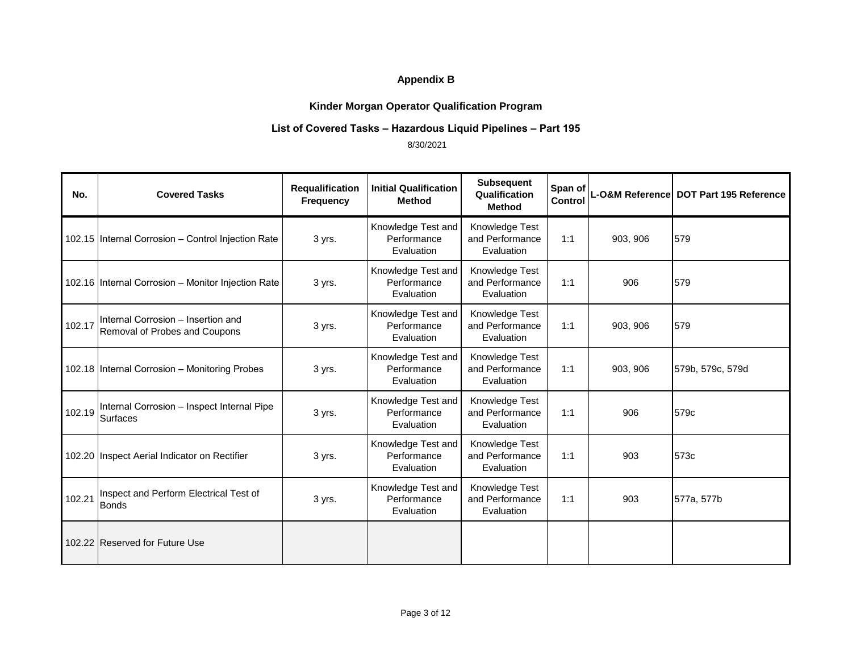# **Kinder Morgan Operator Qualification Program**

#### **List of Covered Tasks – Hazardous Liquid Pipelines – Part 195**

| No.    | <b>Covered Tasks</b>                                                | Requalification<br><b>Frequency</b> | <b>Initial Qualification</b><br><b>Method</b>   | <b>Subsequent</b><br>Qualification<br><b>Method</b> | Span of<br><b>Control</b> |          | L-O&M Reference DOT Part 195 Reference |
|--------|---------------------------------------------------------------------|-------------------------------------|-------------------------------------------------|-----------------------------------------------------|---------------------------|----------|----------------------------------------|
|        | 102.15 Internal Corrosion - Control Injection Rate                  | 3 yrs.                              | Knowledge Test and<br>Performance<br>Evaluation | Knowledge Test<br>and Performance<br>Evaluation     | 1:1                       | 903, 906 | 579                                    |
|        | 102.16 Internal Corrosion - Monitor Injection Rate                  | 3 yrs.                              | Knowledge Test and<br>Performance<br>Evaluation | Knowledge Test<br>and Performance<br>Evaluation     | 1:1                       | 906      | 579                                    |
| 102.17 | Internal Corrosion - Insertion and<br>Removal of Probes and Coupons | 3 yrs.                              | Knowledge Test and<br>Performance<br>Evaluation | Knowledge Test<br>and Performance<br>Evaluation     | 1:1                       | 903, 906 | 579                                    |
|        | 102.18 Internal Corrosion - Monitoring Probes                       | 3 yrs.                              | Knowledge Test and<br>Performance<br>Evaluation | Knowledge Test<br>and Performance<br>Evaluation     | 1:1                       | 903, 906 | 579b, 579c, 579d                       |
| 102.19 | Internal Corrosion - Inspect Internal Pipe<br>Surfaces              | 3 yrs.                              | Knowledge Test and<br>Performance<br>Evaluation | Knowledge Test<br>and Performance<br>Evaluation     | 1:1                       | 906      | 579c                                   |
|        | 102.20 Inspect Aerial Indicator on Rectifier                        | 3 yrs.                              | Knowledge Test and<br>Performance<br>Evaluation | Knowledge Test<br>and Performance<br>Evaluation     | 1:1                       | 903      | 573c                                   |
| 102.21 | Inspect and Perform Electrical Test of<br><b>Bonds</b>              | 3 yrs.                              | Knowledge Test and<br>Performance<br>Evaluation | Knowledge Test<br>and Performance<br>Evaluation     | 1:1                       | 903      | 577a, 577b                             |
|        | 102.22 Reserved for Future Use                                      |                                     |                                                 |                                                     |                           |          |                                        |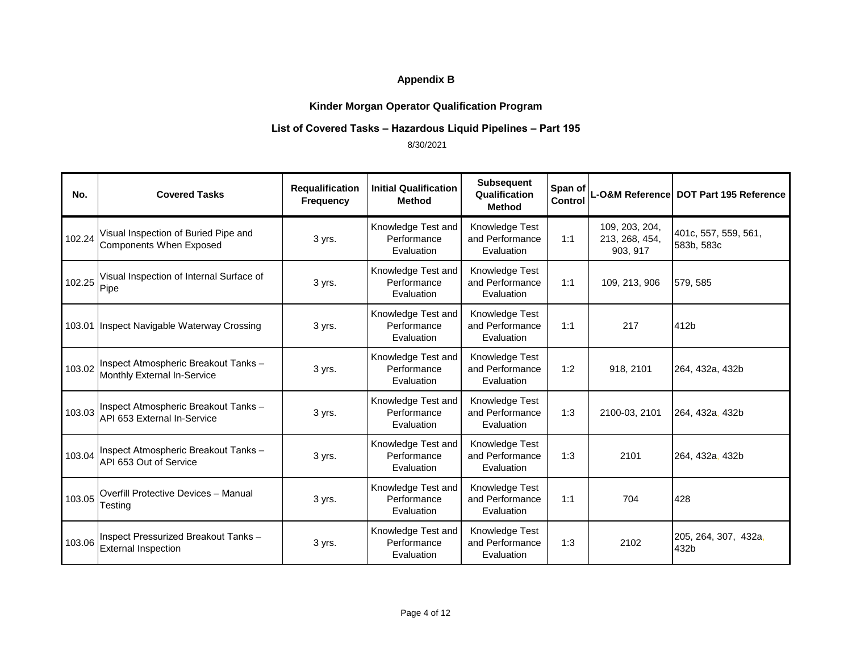# **Kinder Morgan Operator Qualification Program**

#### **List of Covered Tasks – Hazardous Liquid Pipelines – Part 195**

| No.    | <b>Covered Tasks</b>                                                       | Requalification<br>Frequency | <b>Initial Qualification</b><br><b>Method</b>   | <b>Subsequent</b><br>Qualification<br><b>Method</b> | Span of<br>Control |                                              | L-O&M Reference DOT Part 195 Reference |
|--------|----------------------------------------------------------------------------|------------------------------|-------------------------------------------------|-----------------------------------------------------|--------------------|----------------------------------------------|----------------------------------------|
| 102.24 | Visual Inspection of Buried Pipe and<br><b>Components When Exposed</b>     | 3 yrs.                       | Knowledge Test and<br>Performance<br>Evaluation | Knowledge Test<br>and Performance<br>Evaluation     | 1:1                | 109, 203, 204,<br>213, 268, 454,<br>903, 917 | 401c, 557, 559, 561,<br>583b, 583c     |
| 102.25 | Visual Inspection of Internal Surface of<br>Pipe                           | 3 yrs.                       | Knowledge Test and<br>Performance<br>Evaluation | Knowledge Test<br>and Performance<br>Evaluation     | 1:1                | 109, 213, 906                                | 579, 585                               |
|        | 103.01 Inspect Navigable Waterway Crossing                                 | 3 yrs.                       | Knowledge Test and<br>Performance<br>Evaluation | Knowledge Test<br>and Performance<br>Evaluation     | 1:1                | 217                                          | 412b                                   |
| 103.02 | Inspect Atmospheric Breakout Tanks -<br>Monthly External In-Service        | 3 yrs.                       | Knowledge Test and<br>Performance<br>Evaluation | Knowledge Test<br>and Performance<br>Evaluation     | 1:2                | 918, 2101                                    | 264, 432a, 432b                        |
|        | 103.03 Inspect Atmospheric Breakout Tanks -<br>API 653 External In-Service | 3 yrs.                       | Knowledge Test and<br>Performance<br>Evaluation | Knowledge Test<br>and Performance<br>Evaluation     | 1:3                | 2100-03, 2101                                | 264, 432a, 432b                        |
| 103.04 | Inspect Atmospheric Breakout Tanks -<br>API 653 Out of Service             | 3 yrs.                       | Knowledge Test and<br>Performance<br>Evaluation | Knowledge Test<br>and Performance<br>Evaluation     | 1:3                | 2101                                         | 264, 432a, 432b                        |
| 103.05 | <b>Overfill Protective Devices - Manual</b><br>Testing                     | 3 yrs.                       | Knowledge Test and<br>Performance<br>Evaluation | Knowledge Test<br>and Performance<br>Evaluation     | 1:1                | 704                                          | 428                                    |
| 103.06 | Inspect Pressurized Breakout Tanks -<br><b>External Inspection</b>         | 3 yrs.                       | Knowledge Test and<br>Performance<br>Evaluation | Knowledge Test<br>and Performance<br>Evaluation     | 1:3                | 2102                                         | 205, 264, 307, 432a,<br>432b           |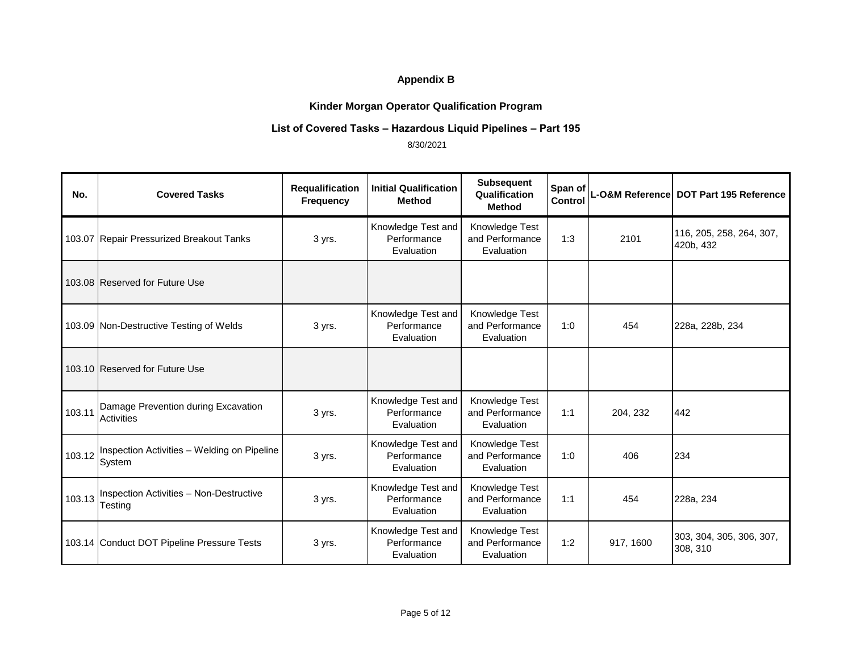# **Kinder Morgan Operator Qualification Program**

## **List of Covered Tasks – Hazardous Liquid Pipelines – Part 195**

| No.    | <b>Covered Tasks</b>                                  | Requalification<br><b>Frequency</b> | <b>Initial Qualification</b><br><b>Method</b>   | <b>Subsequent</b><br>Qualification<br><b>Method</b> | Span of<br>Control |           | L-O&M Reference DOT Part 195 Reference |
|--------|-------------------------------------------------------|-------------------------------------|-------------------------------------------------|-----------------------------------------------------|--------------------|-----------|----------------------------------------|
|        | 103.07 Repair Pressurized Breakout Tanks              | 3 yrs.                              | Knowledge Test and<br>Performance<br>Evaluation | Knowledge Test<br>and Performance<br>Evaluation     | 1:3                | 2101      | 116, 205, 258, 264, 307,<br>420b, 432  |
|        | 103.08 Reserved for Future Use                        |                                     |                                                 |                                                     |                    |           |                                        |
|        | 103.09 Non-Destructive Testing of Welds               | 3 yrs.                              | Knowledge Test and<br>Performance<br>Evaluation | Knowledge Test<br>and Performance<br>Evaluation     | 1:0                | 454       | 228a, 228b, 234                        |
|        | 103.10 Reserved for Future Use                        |                                     |                                                 |                                                     |                    |           |                                        |
| 103.11 | Damage Prevention during Excavation<br>Activities     | 3 yrs.                              | Knowledge Test and<br>Performance<br>Evaluation | Knowledge Test<br>and Performance<br>Evaluation     | 1:1                | 204, 232  | 442                                    |
| 103.12 | Inspection Activities - Welding on Pipeline<br>System | 3 yrs.                              | Knowledge Test and<br>Performance<br>Evaluation | Knowledge Test<br>and Performance<br>Evaluation     | 1:0                | 406       | 234                                    |
| 103.13 | Inspection Activities - Non-Destructive<br>Testing    | 3 yrs.                              | Knowledge Test and<br>Performance<br>Evaluation | Knowledge Test<br>and Performance<br>Evaluation     | 1:1                | 454       | 228a, 234                              |
|        | 103.14 Conduct DOT Pipeline Pressure Tests            | 3 yrs.                              | Knowledge Test and<br>Performance<br>Evaluation | Knowledge Test<br>and Performance<br>Evaluation     | 1:2                | 917, 1600 | 303, 304, 305, 306, 307,<br>308, 310   |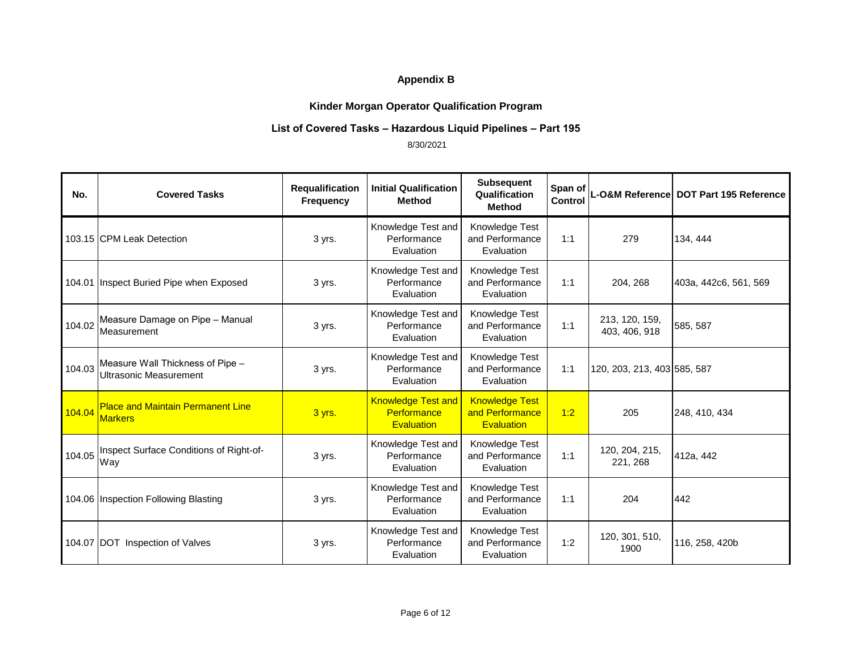# **Kinder Morgan Operator Qualification Program**

## **List of Covered Tasks – Hazardous Liquid Pipelines – Part 195**

| No.    | <b>Covered Tasks</b>                                              | <b>Requalification</b><br><b>Frequency</b> | <b>Initial Qualification</b><br><b>Method</b>                 | <b>Subsequent</b><br>Qualification<br><b>Method</b>           | Span of<br>Control |                                 | L-O&M Reference DOT Part 195 Reference |
|--------|-------------------------------------------------------------------|--------------------------------------------|---------------------------------------------------------------|---------------------------------------------------------------|--------------------|---------------------------------|----------------------------------------|
|        | 103.15 CPM Leak Detection                                         | 3 yrs.                                     | Knowledge Test and<br>Performance<br>Evaluation               | Knowledge Test<br>and Performance<br>Evaluation               | 1:1                | 279                             | 134, 444                               |
|        | 104.01 Inspect Buried Pipe when Exposed                           | 3 yrs.                                     | Knowledge Test and<br>Performance<br>Evaluation               | Knowledge Test<br>and Performance<br>Evaluation               | 1:1                | 204, 268                        | 403a, 442c6, 561, 569                  |
| 104.02 | Measure Damage on Pipe - Manual<br>Measurement                    | 3 yrs.                                     | Knowledge Test and<br>Performance<br>Evaluation               | Knowledge Test<br>and Performance<br>Evaluation               | 1:1                | 213, 120, 159,<br>403, 406, 918 | 585, 587                               |
| 104.03 | Measure Wall Thickness of Pipe -<br><b>Ultrasonic Measurement</b> | 3 yrs.                                     | Knowledge Test and<br>Performance<br>Evaluation               | Knowledge Test<br>and Performance<br>Evaluation               | 1:1                | 120, 203, 213, 403 585, 587     |                                        |
| 104.04 | <b>Place and Maintain Permanent Line</b><br><b>Markers</b>        | 3 yrs.                                     | <b>Knowledge Test and</b><br>Performance<br><b>Evaluation</b> | <b>Knowledge Test</b><br>and Performance<br><b>Evaluation</b> | 1:2                | 205                             | 248, 410, 434                          |
| 104.05 | Inspect Surface Conditions of Right-of-<br>Way                    | 3 yrs.                                     | Knowledge Test and<br>Performance<br>Evaluation               | Knowledge Test<br>and Performance<br>Evaluation               | 1:1                | 120, 204, 215,<br>221, 268      | 412a, 442                              |
|        | 104.06 Inspection Following Blasting                              | 3 yrs.                                     | Knowledge Test and<br>Performance<br>Evaluation               | Knowledge Test<br>and Performance<br>Evaluation               | 1:1                | 204                             | 442                                    |
|        | 104.07 DOT Inspection of Valves                                   | 3 yrs.                                     | Knowledge Test and<br>Performance<br>Evaluation               | Knowledge Test<br>and Performance<br>Evaluation               | 1:2                | 120, 301, 510,<br>1900          | 116, 258, 420b                         |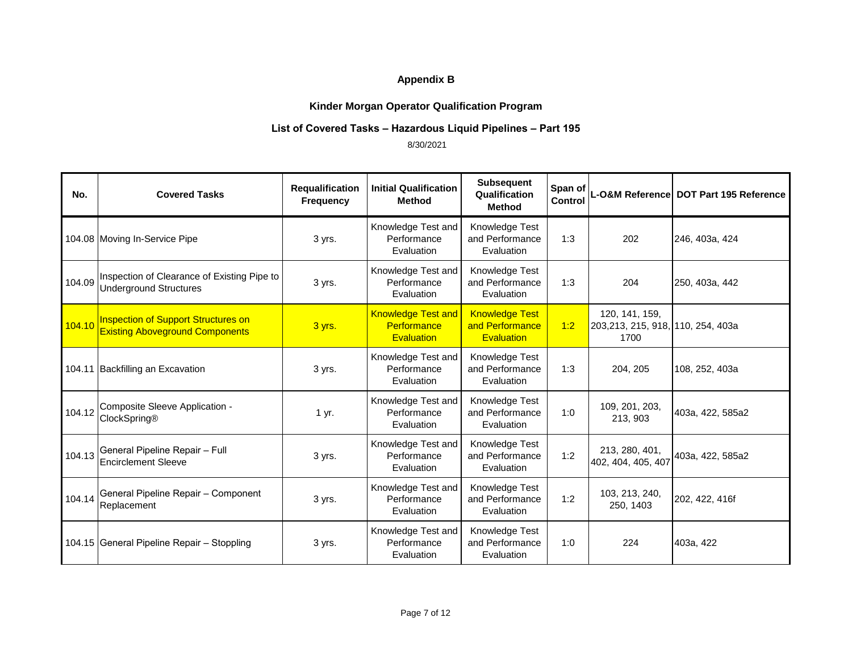# **Kinder Morgan Operator Qualification Program**

#### **List of Covered Tasks – Hazardous Liquid Pipelines – Part 195**

| No.    | <b>Covered Tasks</b>                                                                 | Requalification<br><b>Frequency</b> | <b>Initial Qualification</b><br><b>Method</b>                 | <b>Subsequent</b><br>Qualification<br><b>Method</b>           | Span of<br><b>Control</b> |                                                             | L-O&M Reference DOT Part 195 Reference |
|--------|--------------------------------------------------------------------------------------|-------------------------------------|---------------------------------------------------------------|---------------------------------------------------------------|---------------------------|-------------------------------------------------------------|----------------------------------------|
|        | 104.08 Moving In-Service Pipe                                                        | 3 yrs.                              | Knowledge Test and<br>Performance<br>Evaluation               | Knowledge Test<br>and Performance<br>Evaluation               | 1:3                       | 202                                                         | 246, 403a, 424                         |
| 104.09 | Inspection of Clearance of Existing Pipe to<br><b>Underground Structures</b>         | 3 yrs.                              | Knowledge Test and<br>Performance<br>Evaluation               | Knowledge Test<br>and Performance<br>Evaluation               | 1:3                       | 204                                                         | 250, 403a, 442                         |
| 104.10 | <b>Inspection of Support Structures on</b><br><b>Existing Aboveground Components</b> | 3 yrs.                              | <b>Knowledge Test and</b><br>Performance<br><b>Evaluation</b> | <b>Knowledge Test</b><br>and Performance<br><b>Evaluation</b> | 1:2                       | 120, 141, 159,<br>203,213, 215, 918, 110, 254, 403a<br>1700 |                                        |
|        | 104.11 Backfilling an Excavation                                                     | 3 yrs.                              | Knowledge Test and<br>Performance<br>Evaluation               | Knowledge Test<br>and Performance<br>Evaluation               | 1:3                       | 204, 205                                                    | 108, 252, 403a                         |
| 104.12 | Composite Sleeve Application -<br>ClockSpring®                                       | 1 yr.                               | Knowledge Test and<br>Performance<br>Evaluation               | Knowledge Test<br>and Performance<br>Evaluation               | 1:0                       | 109, 201, 203,<br>213, 903                                  | 403a, 422, 585a2                       |
| 104.13 | General Pipeline Repair - Full<br><b>Encirclement Sleeve</b>                         | 3 yrs.                              | Knowledge Test and<br>Performance<br>Evaluation               | Knowledge Test<br>and Performance<br>Evaluation               | 1:2                       | 213, 280, 401,<br>402, 404, 405, 407                        | 403a, 422, 585a2                       |
| 104.14 | General Pipeline Repair - Component<br>Replacement                                   | 3 yrs.                              | Knowledge Test and<br>Performance<br>Evaluation               | Knowledge Test<br>and Performance<br>Evaluation               | 1:2                       | 103, 213, 240,<br>250, 1403                                 | 202, 422, 416f                         |
|        | 104.15 General Pipeline Repair - Stoppling                                           | 3 yrs.                              | Knowledge Test and<br>Performance<br>Evaluation               | Knowledge Test<br>and Performance<br>Evaluation               | 1:0                       | 224                                                         | 403a, 422                              |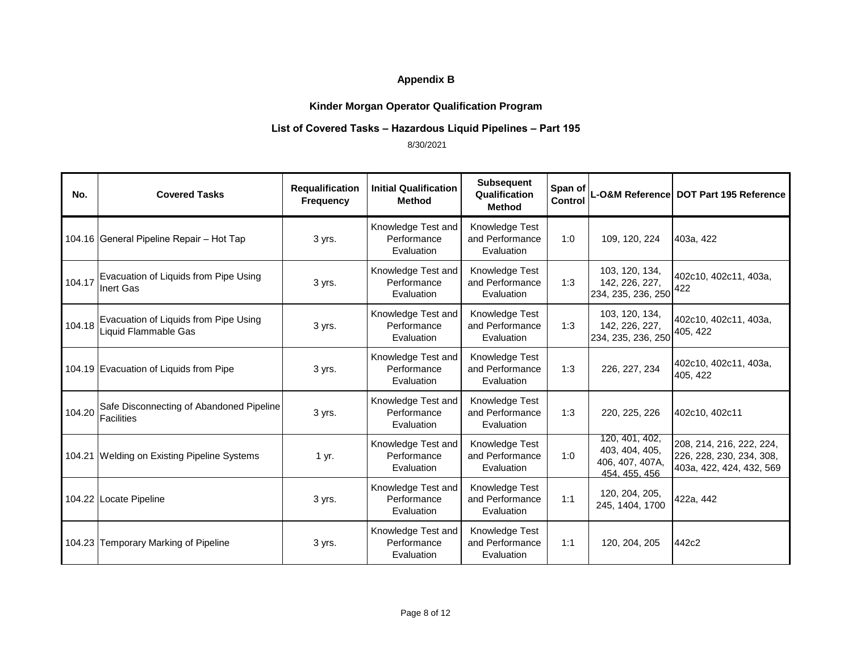# **Kinder Morgan Operator Qualification Program**

#### **List of Covered Tasks – Hazardous Liquid Pipelines – Part 195**

| No.    | <b>Covered Tasks</b>                                          | Requalification<br><b>Frequency</b> | <b>Initial Qualification</b><br><b>Method</b>   | <b>Subsequent</b><br>Qualification<br><b>Method</b> | Span of<br>Control |                                                                      | L-O&M Reference DOT Part 195 Reference                                           |
|--------|---------------------------------------------------------------|-------------------------------------|-------------------------------------------------|-----------------------------------------------------|--------------------|----------------------------------------------------------------------|----------------------------------------------------------------------------------|
|        | 104.16 General Pipeline Repair - Hot Tap                      | 3 yrs.                              | Knowledge Test and<br>Performance<br>Evaluation | Knowledge Test<br>and Performance<br>Evaluation     | 1:0                | 109, 120, 224                                                        | 403a, 422                                                                        |
| 104.17 | Evacuation of Liquids from Pipe Using<br>Inert Gas            | 3 yrs.                              | Knowledge Test and<br>Performance<br>Evaluation | Knowledge Test<br>and Performance<br>Evaluation     | 1:3                | 103, 120, 134,<br>142, 226, 227,<br>234, 235, 236, 250               | 402c10, 402c11, 403a,<br>422                                                     |
| 104.18 | Evacuation of Liquids from Pipe Using<br>Liquid Flammable Gas | 3 yrs.                              | Knowledge Test and<br>Performance<br>Evaluation | Knowledge Test<br>and Performance<br>Evaluation     | 1:3                | 103, 120, 134,<br>142, 226, 227,<br>234, 235, 236, 250               | 402c10, 402c11, 403a,<br>405, 422                                                |
|        | 104.19 Evacuation of Liquids from Pipe                        | 3 yrs.                              | Knowledge Test and<br>Performance<br>Evaluation | Knowledge Test<br>and Performance<br>Evaluation     | 1:3                | 226, 227, 234                                                        | 402c10, 402c11, 403a,<br>405, 422                                                |
| 104.20 | Safe Disconnecting of Abandoned Pipeline<br><b>Facilities</b> | 3 yrs.                              | Knowledge Test and<br>Performance<br>Evaluation | Knowledge Test<br>and Performance<br>Evaluation     | 1:3                | 220, 225, 226                                                        | 402c10, 402c11                                                                   |
|        | 104.21 Welding on Existing Pipeline Systems                   | 1 yr.                               | Knowledge Test and<br>Performance<br>Evaluation | Knowledge Test<br>and Performance<br>Evaluation     | 1:0                | 120, 401, 402,<br>403, 404, 405,<br>406, 407, 407A,<br>454, 455, 456 | 208, 214, 216, 222, 224,<br>226, 228, 230, 234, 308,<br>403a, 422, 424, 432, 569 |
|        | 104.22 Locate Pipeline                                        | 3 yrs.                              | Knowledge Test and<br>Performance<br>Evaluation | Knowledge Test<br>and Performance<br>Evaluation     | 1:1                | 120, 204, 205,<br>245, 1404, 1700                                    | 422a, 442                                                                        |
|        | 104.23 Temporary Marking of Pipeline                          | 3 yrs.                              | Knowledge Test and<br>Performance<br>Evaluation | Knowledge Test<br>and Performance<br>Evaluation     | 1:1                | 120, 204, 205                                                        | 442c2                                                                            |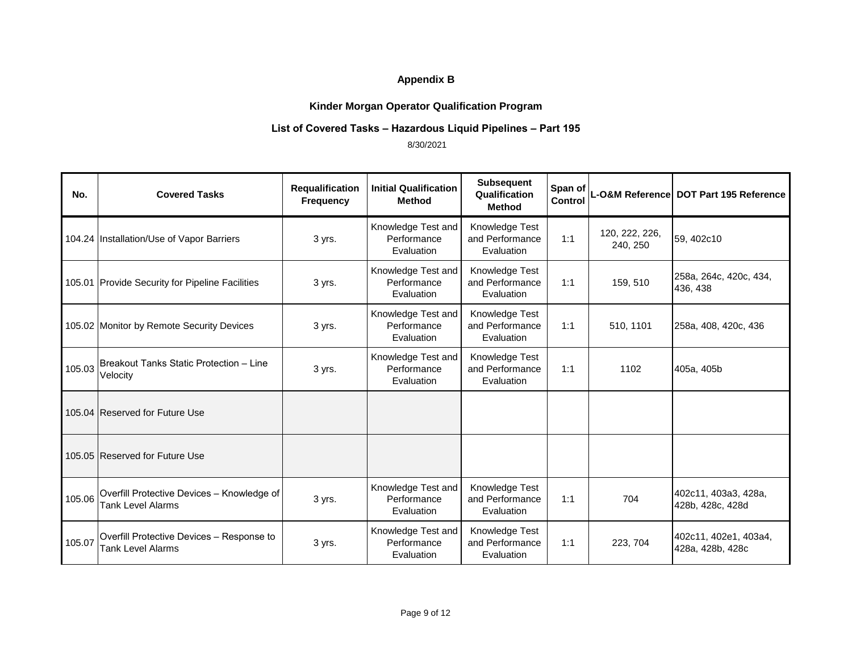# **Kinder Morgan Operator Qualification Program**

## **List of Covered Tasks – Hazardous Liquid Pipelines – Part 195**

| No.    | <b>Covered Tasks</b>                                                   | Requalification<br><b>Frequency</b> | <b>Initial Qualification</b><br><b>Method</b>   | <b>Subsequent</b><br>Qualification<br><b>Method</b> | Span of<br><b>Control</b> |                            | L-O&M Reference DOT Part 195 Reference    |
|--------|------------------------------------------------------------------------|-------------------------------------|-------------------------------------------------|-----------------------------------------------------|---------------------------|----------------------------|-------------------------------------------|
|        | 104.24 Installation/Use of Vapor Barriers                              | 3 yrs.                              | Knowledge Test and<br>Performance<br>Evaluation | Knowledge Test<br>and Performance<br>Evaluation     | 1:1                       | 120, 222, 226,<br>240, 250 | 59, 402c10                                |
|        | 105.01 Provide Security for Pipeline Facilities                        | 3 yrs.                              | Knowledge Test and<br>Performance<br>Evaluation | Knowledge Test<br>and Performance<br>Evaluation     | 1:1                       | 159, 510                   | 258a, 264c, 420c, 434,<br>436, 438        |
|        | 105.02 Monitor by Remote Security Devices                              | 3 yrs.                              | Knowledge Test and<br>Performance<br>Evaluation | Knowledge Test<br>and Performance<br>Evaluation     | 1:1                       | 510, 1101                  | 258a, 408, 420c, 436                      |
| 105.03 | Breakout Tanks Static Protection - Line<br>Velocity                    | 3 yrs.                              | Knowledge Test and<br>Performance<br>Evaluation | Knowledge Test<br>and Performance<br>Evaluation     | 1:1                       | 1102                       | 405a, 405b                                |
|        | 105.04 Reserved for Future Use                                         |                                     |                                                 |                                                     |                           |                            |                                           |
|        | 105.05 Reserved for Future Use                                         |                                     |                                                 |                                                     |                           |                            |                                           |
| 105.06 | Overfill Protective Devices - Knowledge of<br><b>Tank Level Alarms</b> | 3 yrs.                              | Knowledge Test and<br>Performance<br>Evaluation | Knowledge Test<br>and Performance<br>Evaluation     | 1:1                       | 704                        | 402c11, 403a3, 428a,<br>428b, 428c, 428d  |
| 105.07 | Overfill Protective Devices - Response to<br><b>Tank Level Alarms</b>  | 3 yrs.                              | Knowledge Test and<br>Performance<br>Evaluation | Knowledge Test<br>and Performance<br>Evaluation     | 1:1                       | 223, 704                   | 402c11, 402e1, 403a4,<br>428a, 428b, 428c |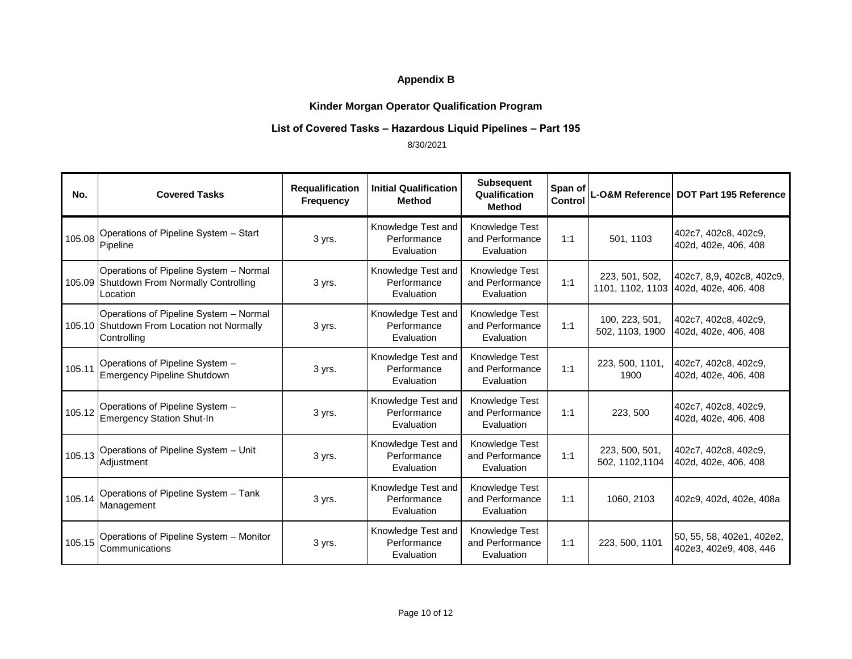# **Kinder Morgan Operator Qualification Program**

#### **List of Covered Tasks – Hazardous Liquid Pipelines – Part 195**

| No.    | <b>Covered Tasks</b>                                                                                | Requalification<br><b>Frequency</b> | <b>Initial Qualification</b><br><b>Method</b>   | <b>Subsequent</b><br>Qualification<br><b>Method</b> | Span of<br>Control |                                    | L-O&M Reference DOT Part 195 Reference              |
|--------|-----------------------------------------------------------------------------------------------------|-------------------------------------|-------------------------------------------------|-----------------------------------------------------|--------------------|------------------------------------|-----------------------------------------------------|
| 105.08 | Operations of Pipeline System - Start<br>Pipeline                                                   | 3 yrs.                              | Knowledge Test and<br>Performance<br>Evaluation | Knowledge Test<br>and Performance<br>Evaluation     | 1:1                | 501, 1103                          | 402c7, 402c8, 402c9,<br>402d, 402e, 406, 408        |
|        | Operations of Pipeline System - Normal<br>105.09 Shutdown From Normally Controlling<br>Location     | 3 yrs.                              | Knowledge Test and<br>Performance<br>Evaluation | Knowledge Test<br>and Performance<br>Evaluation     | 1:1                | 223, 501, 502,<br>1101, 1102, 1103 | 402c7, 8,9, 402c8, 402c9,<br>402d, 402e, 406, 408   |
|        | Operations of Pipeline System - Normal<br>105.10 Shutdown From Location not Normally<br>Controlling | 3 yrs.                              | Knowledge Test and<br>Performance<br>Evaluation | Knowledge Test<br>and Performance<br>Evaluation     | 1:1                | 100, 223, 501,<br>502, 1103, 1900  | 402c7, 402c8, 402c9,<br>402d, 402e, 406, 408        |
| 105.11 | Operations of Pipeline System -<br><b>Emergency Pipeline Shutdown</b>                               | 3 yrs.                              | Knowledge Test and<br>Performance<br>Evaluation | Knowledge Test<br>and Performance<br>Evaluation     | 1:1                | 223, 500, 1101,<br>1900            | 402c7, 402c8, 402c9,<br>402d, 402e, 406, 408        |
|        | 105.12 Operations of Pipeline System -<br><b>Emergency Station Shut-In</b>                          | 3 yrs.                              | Knowledge Test and<br>Performance<br>Evaluation | Knowledge Test<br>and Performance<br>Evaluation     | 1:1                | 223, 500                           | 402c7, 402c8, 402c9,<br>402d, 402e, 406, 408        |
| 105.13 | Operations of Pipeline System - Unit<br>Adjustment                                                  | 3 yrs.                              | Knowledge Test and<br>Performance<br>Evaluation | Knowledge Test<br>and Performance<br>Evaluation     | 1:1                | 223, 500, 501,<br>502, 1102, 1104  | 402c7, 402c8, 402c9,<br>402d, 402e, 406, 408        |
| 105.14 | Operations of Pipeline System - Tank<br>Management                                                  | 3 yrs.                              | Knowledge Test and<br>Performance<br>Evaluation | Knowledge Test<br>and Performance<br>Evaluation     | 1:1                | 1060, 2103                         | 402c9, 402d, 402e, 408a                             |
| 105.15 | Operations of Pipeline System - Monitor<br>Communications                                           | 3 yrs.                              | Knowledge Test and<br>Performance<br>Evaluation | Knowledge Test<br>and Performance<br>Evaluation     | 1:1                | 223, 500, 1101                     | 50, 55, 58, 402e1, 402e2,<br>402e3, 402e9, 408, 446 |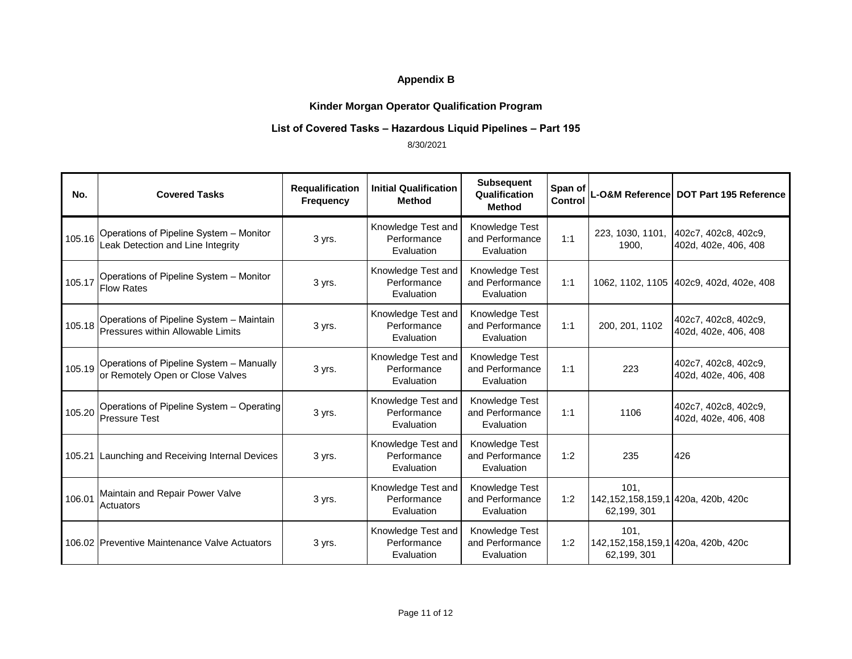# **Kinder Morgan Operator Qualification Program**

## **List of Covered Tasks – Hazardous Liquid Pipelines – Part 195**

| No.    | <b>Covered Tasks</b>                                                          | Requalification<br><b>Frequency</b> | <b>Initial Qualification</b><br><b>Method</b>   | <b>Subsequent</b><br>Qualification<br><b>Method</b> | Span of<br>Control |                                                           | L-O&M Reference DOT Part 195 Reference       |
|--------|-------------------------------------------------------------------------------|-------------------------------------|-------------------------------------------------|-----------------------------------------------------|--------------------|-----------------------------------------------------------|----------------------------------------------|
| 105.16 | Operations of Pipeline System - Monitor<br>Leak Detection and Line Integrity  | 3 yrs.                              | Knowledge Test and<br>Performance<br>Evaluation | Knowledge Test<br>and Performance<br>Evaluation     | 1:1                | 223, 1030, 1101,<br>1900.                                 | 402c7, 402c8, 402c9,<br>402d, 402e, 406, 408 |
| 105.17 | Operations of Pipeline System - Monitor<br><b>Flow Rates</b>                  | 3 yrs.                              | Knowledge Test and<br>Performance<br>Evaluation | Knowledge Test<br>and Performance<br>Evaluation     | 1:1                |                                                           | 1062, 1102, 1105 402c9, 402d, 402e, 408      |
| 105.18 | Operations of Pipeline System - Maintain<br>Pressures within Allowable Limits | 3 yrs.                              | Knowledge Test and<br>Performance<br>Evaluation | Knowledge Test<br>and Performance<br>Evaluation     | 1:1                | 200, 201, 1102                                            | 402c7, 402c8, 402c9,<br>402d, 402e, 406, 408 |
| 105.19 | Operations of Pipeline System - Manually<br>or Remotely Open or Close Valves  | 3 yrs.                              | Knowledge Test and<br>Performance<br>Evaluation | Knowledge Test<br>and Performance<br>Evaluation     | 1:1                | 223                                                       | 402c7, 402c8, 402c9,<br>402d, 402e, 406, 408 |
| 105.20 | Operations of Pipeline System - Operating<br><b>IPressure Test</b>            | 3 yrs.                              | Knowledge Test and<br>Performance<br>Evaluation | Knowledge Test<br>and Performance<br>Evaluation     | 1:1                | 1106                                                      | 402c7, 402c8, 402c9,<br>402d, 402e, 406, 408 |
|        | 105.21 Launching and Receiving Internal Devices                               | 3 yrs.                              | Knowledge Test and<br>Performance<br>Evaluation | Knowledge Test<br>and Performance<br>Evaluation     | 1:2                | 235                                                       | 426                                          |
| 106.01 | Maintain and Repair Power Valve<br>Actuators                                  | 3 yrs.                              | Knowledge Test and<br>Performance<br>Evaluation | Knowledge Test<br>and Performance<br>Evaluation     | 1:2                | 101.<br>142,152,158,159,1 420a, 420b, 420c<br>62,199, 301 |                                              |
|        | 106.02 Preventive Maintenance Valve Actuators                                 | 3 yrs.                              | Knowledge Test and<br>Performance<br>Evaluation | Knowledge Test<br>and Performance<br>Evaluation     | 1:2                | 101.<br>142,152,158,159,1 420a, 420b, 420c<br>62,199, 301 |                                              |